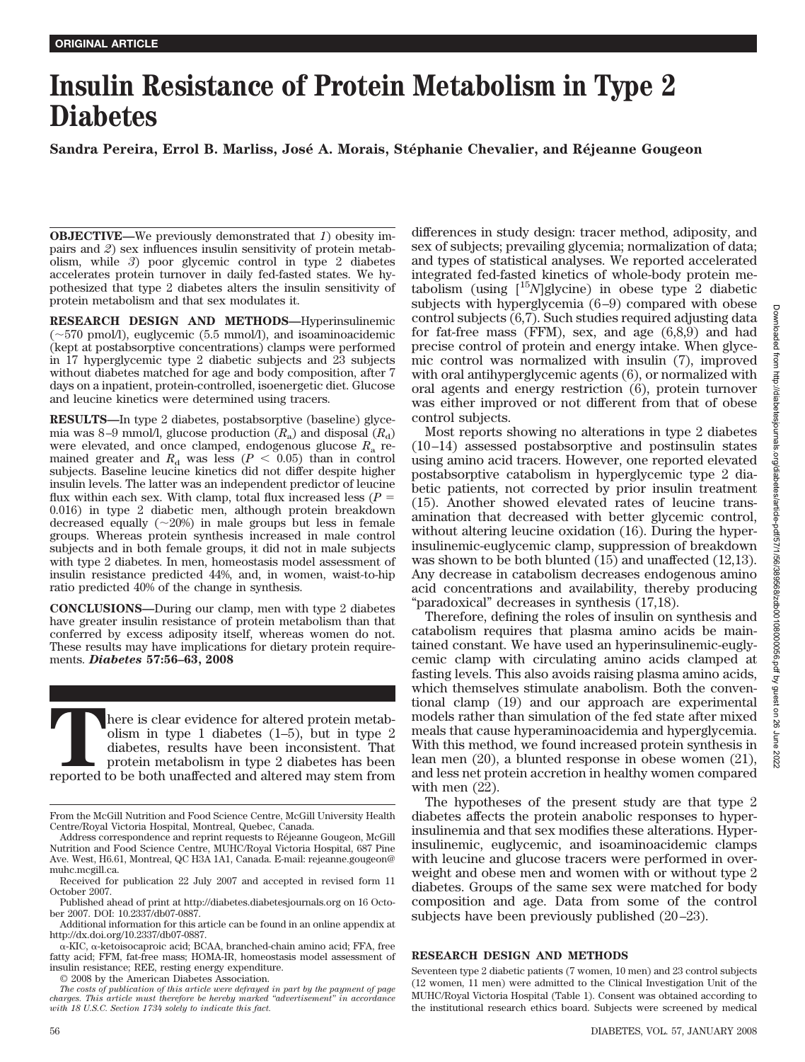# **Insulin Resistance of Protein Metabolism in Type 2 Diabetes**

Sandra Pereira, Errol B. Marliss, José A. Morais, Stéphanie Chevalier, and Réjeanne Gougeon

**OBJECTIVE—**We previously demonstrated that *1*) obesity impairs and *2*) sex influences insulin sensitivity of protein metabolism, while *3*) poor glycemic control in type 2 diabetes accelerates protein turnover in daily fed-fasted states. We hypothesized that type 2 diabetes alters the insulin sensitivity of protein metabolism and that sex modulates it.

**RESEARCH DESIGN AND METHODS—**Hyperinsulinemic  $(\sim 570 \text{ pmol/l})$ , euglycemic (5.5 mmol/l), and isoaminoacidemic (kept at postabsorptive concentrations) clamps were performed in 17 hyperglycemic type 2 diabetic subjects and 23 subjects without diabetes matched for age and body composition, after 7 days on a inpatient, protein-controlled, isoenergetic diet. Glucose and leucine kinetics were determined using tracers.

**RESULTS—**In type 2 diabetes, postabsorptive (baseline) glycemia was 8-9 mmol/l, glucose production  $(R_a)$  and disposal  $(R_d)$ were elevated, and once clamped, endogenous glucose *R*<sup>a</sup> remained greater and  $R_d$  was less ( $P < 0.05$ ) than in control subjects. Baseline leucine kinetics did not differ despite higher insulin levels. The latter was an independent predictor of leucine flux within each sex. With clamp, total flux increased less  $(P =$ 0.016) in type 2 diabetic men, although protein breakdown decreased equally  $(\sim 20\%)$  in male groups but less in female groups. Whereas protein synthesis increased in male control subjects and in both female groups, it did not in male subjects with type 2 diabetes. In men, homeostasis model assessment of insulin resistance predicted 44%, and, in women, waist-to-hip ratio predicted 40% of the change in synthesis.

**CONCLUSIONS—**During our clamp, men with type 2 diabetes have greater insulin resistance of protein metabolism than that conferred by excess adiposity itself, whereas women do not. These results may have implications for dietary protein requirements. *Diabetes* **57:56–63, 2008**

There is clear evidence for altered protein metab-<br>
olism in type 1 diabetes (1–5), but in type 2<br>
diabetes, results have been inconsistent. That<br>
protein metabolism in type 2 diabetes has been<br>
reported to be both unaffec olism in type 1 diabetes (1–5), but in type 2 diabetes, results have been inconsistent. That protein metabolism in type 2 diabetes has been

© 2008 by the American Diabetes Association.

differences in study design: tracer method, adiposity, and sex of subjects; prevailing glycemia; normalization of data; and types of statistical analyses. We reported accelerated integrated fed-fasted kinetics of whole-body protein metabolism (using [15*N*]glycine) in obese type 2 diabetic subjects with hyperglycemia  $(6-9)$  compared with obese control subjects (6,7). Such studies required adjusting data for fat-free mass (FFM), sex, and age (6,8,9) and had precise control of protein and energy intake. When glycemic control was normalized with insulin (7), improved with oral antihyperglycemic agents (6), or normalized with oral agents and energy restriction (6), protein turnover was either improved or not different from that of obese control subjects.

Most reports showing no alterations in type 2 diabetes  $(10-14)$  assessed postabsorptive and postinsulin states using amino acid tracers. However, one reported elevated postabsorptive catabolism in hyperglycemic type 2 diabetic patients, not corrected by prior insulin treatment (15). Another showed elevated rates of leucine transamination that decreased with better glycemic control, without altering leucine oxidation (16). During the hyperinsulinemic-euglycemic clamp, suppression of breakdown was shown to be both blunted (15) and unaffected (12,13). Any decrease in catabolism decreases endogenous amino acid concentrations and availability, thereby producing "paradoxical" decreases in synthesis (17,18).

Therefore, defining the roles of insulin on synthesis and catabolism requires that plasma amino acids be maintained constant. We have used an hyperinsulinemic-euglycemic clamp with circulating amino acids clamped at fasting levels. This also avoids raising plasma amino acids, which themselves stimulate anabolism. Both the conventional clamp (19) and our approach are experimental models rather than simulation of the fed state after mixed meals that cause hyperaminoacidemia and hyperglycemia. With this method, we found increased protein synthesis in lean men (20), a blunted response in obese women (21), and less net protein accretion in healthy women compared with men  $(22)$ .

The hypotheses of the present study are that type 2 diabetes affects the protein anabolic responses to hyperinsulinemia and that sex modifies these alterations. Hyperinsulinemic, euglycemic, and isoaminoacidemic clamps with leucine and glucose tracers were performed in overweight and obese men and women with or without type 2 diabetes. Groups of the same sex were matched for body composition and age. Data from some of the control subjects have been previously published  $(20-23)$ .

## **RESEARCH DESIGN AND METHODS**

Seventeen type 2 diabetic patients (7 women, 10 men) and 23 control subjects (12 women, 11 men) were admitted to the Clinical Investigation Unit of the MUHC/Royal Victoria Hospital (Table 1). Consent was obtained according to the institutional research ethics board. Subjects were screened by medical

From the McGill Nutrition and Food Science Centre, McGill University Health Centre/Royal Victoria Hospital, Montreal, Quebec, Canada.

Address correspondence and reprint requests to Réjeanne Gougeon, McGill Nutrition and Food Science Centre, MUHC/Royal Victoria Hospital, 687 Pine Ave. West, H6.61, Montreal, QC H3A 1A1, Canada. E-mail: rejeanne.gougeon@ muhc.mcgill.ca.

Received for publication 22 July 2007 and accepted in revised form 11 October 2007.

Published ahead of print at http://diabetes.diabetesjournals.org on 16 October 2007. DOI: 10.2337/db07-0887.

Additional information for this article can be found in an online appendix at http://dx.doi.org/10.2337/db07-0887.

 $\alpha$ -KIC,  $\alpha$ -ketoisocaproic acid; BCAA, branched-chain amino acid; FFA, free fatty acid; FFM, fat-free mass; HOMA-IR, homeostasis model assessment of insulin resistance; REE, resting energy expenditure.

*The costs of publication of this article were defrayed in part by the payment of page charges. This article must therefore be hereby marked "advertisement" in accordance with 18 U.S.C. Section 1734 solely to indicate this fact.*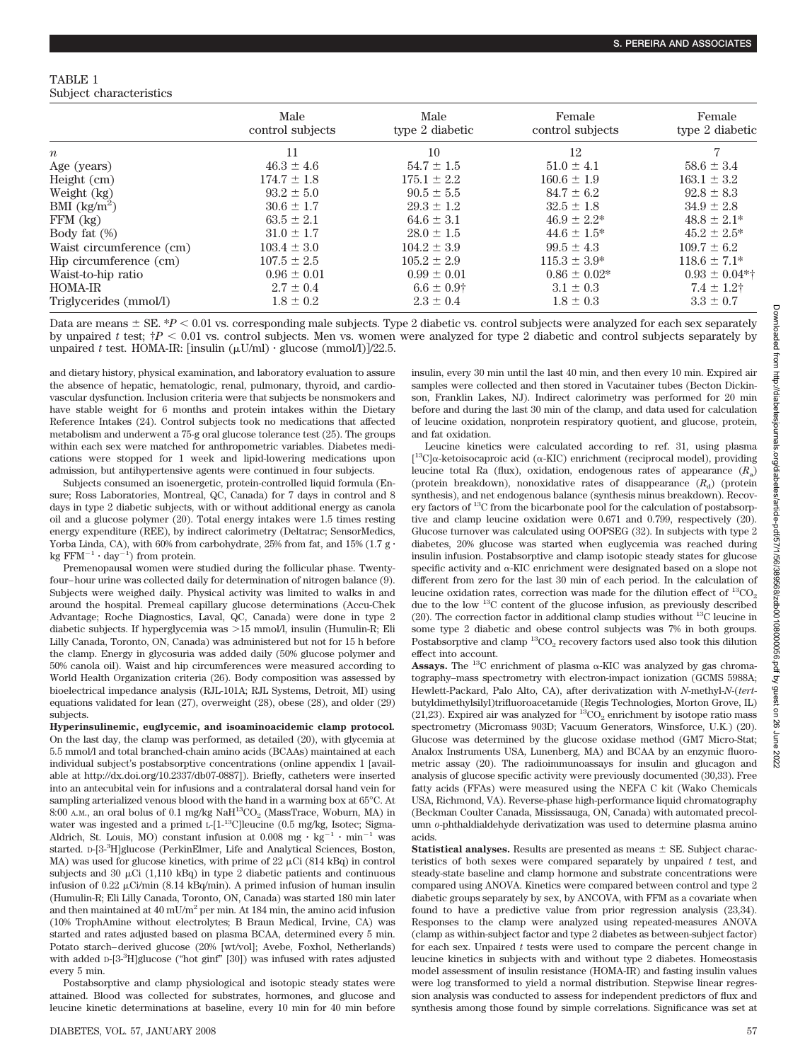## TABLE 1 Subject characteristics

|                                   | Male<br>control subjects | Male<br>type 2 diabetic | Female<br>control subjects | Female<br>type 2 diabetic |  |
|-----------------------------------|--------------------------|-------------------------|----------------------------|---------------------------|--|
| $\boldsymbol{n}$                  | 11                       | 10                      | 12                         |                           |  |
| Age (years)                       | $46.3 \pm 4.6$           | $54.7 \pm 1.5$          | $51.0 \pm 4.1$             | $58.6 \pm 3.4$            |  |
| Height (cm)                       | $174.7 \pm 1.8$          | $175.1 \pm 2.2$         | $160.6 \pm 1.9$            | $163.1 \pm 3.2$           |  |
| Weight (kg)                       | $93.2 \pm 5.0$           | $90.5 \pm 5.5$          | $84.7 \pm 6.2$             | $92.8 \pm 8.3$            |  |
| BMI $\left(\frac{kg}{m^2}\right)$ | $30.6 \pm 1.7$           | $29.3 \pm 1.2$          | $32.5 \pm 1.8$             | $34.9 \pm 2.8$            |  |
| $FFM$ $(kg)$                      | $63.5 \pm 2.1$           | $64.6 \pm 3.1$          | $46.9 \pm 2.2^*$           | $48.8 \pm 2.1*$           |  |
| Body fat $(\%)$                   | $31.0 \pm 1.7$           | $28.0 \pm 1.5$          | $44.6 \pm 1.5^*$           | $45.2 \pm 2.5^*$          |  |
| Waist circumference (cm)          | $103.4 \pm 3.0$          | $104.2 \pm 3.9$         | $99.5 \pm 4.3$             | $109.7 \pm 6.2$           |  |
| Hip circumference (cm)            | $107.5 \pm 2.5$          | $105.2 \pm 2.9$         | $115.3 \pm 3.9^*$          | $118.6 \pm 7.1*$          |  |
| Waist-to-hip ratio                | $0.96 \pm 0.01$          | $0.99 \pm 0.01$         | $0.86 \pm 0.02*$           | $0.93 \pm 0.04$ *†        |  |
| <b>HOMA-IR</b>                    | $2.7 \pm 0.4$            | $6.6 \pm 0.9$ †         | $3.1 \pm 0.3$              | $7.4 \pm 1.2$ †           |  |
| Triglycerides (mmol/l)            | $1.8 \pm 0.2$            | $2.3 \pm 0.4$           | $1.8 \pm 0.3$              | $3.3 \pm 0.7$             |  |

Data are means  $\pm$  SE.  $^{*}P$   $<$  0.01 vs. corresponding male subjects. Type 2 diabetic vs. control subjects were analyzed for each sex separately by unpaired *t* test;  $\uparrow P$  < 0.01 vs. control subjects. Men vs. women were analyzed for type 2 diabetic and control subjects separately by unpaired *t* test. HOMA-IR: [insulin  $(\mu U/ml) \cdot$  glucose  $(mmol/l)/22.5$ .

and dietary history, physical examination, and laboratory evaluation to assure the absence of hepatic, hematologic, renal, pulmonary, thyroid, and cardiovascular dysfunction. Inclusion criteria were that subjects be nonsmokers and have stable weight for 6 months and protein intakes within the Dietary Reference Intakes (24). Control subjects took no medications that affected metabolism and underwent a 75-g oral glucose tolerance test (25). The groups within each sex were matched for anthropometric variables. Diabetes medications were stopped for 1 week and lipid-lowering medications upon admission, but antihypertensive agents were continued in four subjects.

Subjects consumed an isoenergetic, protein-controlled liquid formula (Ensure; Ross Laboratories, Montreal, QC, Canada) for 7 days in control and 8 days in type 2 diabetic subjects, with or without additional energy as canola oil and a glucose polymer (20). Total energy intakes were 1.5 times resting energy expenditure (REE), by indirect calorimetry (Deltatrac; SensorMedics, Yorba Linda, CA), with 60% from carbohydrate, 25% from fat, and 15% (1.7 g  $\cdot$ kg  $FFM^{-1} \cdot day^{-1}$ ) from protein.

Premenopausal women were studied during the follicular phase. Twentyfour– hour urine was collected daily for determination of nitrogen balance (9). Subjects were weighed daily. Physical activity was limited to walks in and around the hospital. Premeal capillary glucose determinations (Accu-Chek Advantage; Roche Diagnostics, Laval, QC, Canada) were done in type 2 diabetic subjects. If hyperglycemia was  $>15$  mmol/l, insulin (Humulin-R; Eli Lilly Canada, Toronto, ON, Canada) was administered but not for 15 h before the clamp. Energy in glycosuria was added daily (50% glucose polymer and 50% canola oil). Waist and hip circumferences were measured according to World Health Organization criteria (26). Body composition was assessed by bioelectrical impedance analysis (RJL-101A; RJL Systems, Detroit, MI) using equations validated for lean (27), overweight (28), obese (28), and older (29) subjects.

**Hyperinsulinemic, euglycemic, and isoaminoacidemic clamp protocol***.* On the last day, the clamp was performed, as detailed (20), with glycemia at 5.5 mmol/l and total branched-chain amino acids (BCAAs) maintained at each individual subject's postabsorptive concentrations (online appendix 1 [available at http://dx.doi.org/10.2337/db07-0887]). Briefly, catheters were inserted into an antecubital vein for infusions and a contralateral dorsal hand vein for sampling arterialized venous blood with the hand in a warming box at 65°C. At 8:00 A.M., an oral bolus of 0.1 mg/kg  $\text{NaH}^{13}\text{CO}_2$  (MassTrace, Woburn, MA) in water was ingested and a primed L-[1-<sup>13</sup>C]leucine (0.5 mg/kg, Isotec; Sigma-Aldrich, St. Louis, MO) constant infusion at  $0.008$  mg  $\cdot$   $\text{kg}^{-1}$   $\cdot$   $\text{min}^{-1}$  was started. D-[3-<sup>3</sup>H]glucose (PerkinElmer, Life and Analytical Sciences, Boston, MA) was used for glucose kinetics, with prime of  $22 \mu$ Ci (814 kBq) in control subjects and 30  $\mu$ Ci (1,110 kBq) in type 2 diabetic patients and continuous infusion of 0.22  $\mu$ Ci/min (8.14 kBq/min). A primed infusion of human insulin (Humulin-R; Eli Lilly Canada, Toronto, ON, Canada) was started 180 min later and then maintained at 40 mU/m2 per min. At 184 min, the amino acid infusion (10% TrophAmine without electrolytes; B Braun Medical, Irvine, CA) was started and rates adjusted based on plasma BCAA, determined every 5 min. Potato starch– derived glucose (20% [wt/vol]; Avebe, Foxhol, Netherlands) with added D-[3-3H]glucose ("hot ginf" [30]) was infused with rates adjusted every 5 min.

Postabsorptive and clamp physiological and isotopic steady states were attained. Blood was collected for substrates, hormones, and glucose and leucine kinetic determinations at baseline, every 10 min for 40 min before insulin, every 30 min until the last 40 min, and then every 10 min. Expired air samples were collected and then stored in Vacutainer tubes (Becton Dickinson, Franklin Lakes, NJ). Indirect calorimetry was performed for 20 min before and during the last 30 min of the clamp, and data used for calculation of leucine oxidation, nonprotein respiratory quotient, and glucose, protein, and fat oxidation.

Leucine kinetics were calculated according to ref. 31, using plasma [<sup>13</sup>C] $\alpha$ -ketoisocaproic acid ( $\alpha$ -KIC) enrichment (reciprocal model), providing leucine total Ra (flux), oxidation, endogenous rates of appearance (*R*a) (protein breakdown), nonoxidative rates of disappearance  $(R_d)$  (protein synthesis), and net endogenous balance (synthesis minus breakdown). Recovery factors of 13C from the bicarbonate pool for the calculation of postabsorptive and clamp leucine oxidation were 0.671 and 0.799, respectively (20). Glucose turnover was calculated using OOPSEG (32). In subjects with type 2 diabetes, 20% glucose was started when euglycemia was reached during insulin infusion. Postabsorptive and clamp isotopic steady states for glucose specific activity and  $\alpha$ -KIC enrichment were designated based on a slope not different from zero for the last 30 min of each period. In the calculation of leucine oxidation rates, correction was made for the dilution effect of  ${}^{13}\mathrm{CO}_2$ due to the low 13C content of the glucose infusion, as previously described (20). The correction factor in additional clamp studies without  $^{13}$ C leucine in some type 2 diabetic and obese control subjects was 7% in both groups. Postabsorptive and clamp <sup>13</sup>CO<sub>2</sub> recovery factors used also took this dilution effect into account.

**Assays.** The <sup>13</sup>C enrichment of plasma  $\alpha$ -KIC was analyzed by gas chromatography–mass spectrometry with electron-impact ionization (GCMS 5988A; Hewlett-Packard, Palo Alto, CA), after derivatization with *N*-methyl-*N*-(*tert*butyldimethylsilyl)trifluoroacetamide (Regis Technologies, Morton Grove, IL) (21,23). Expired air was analyzed for  ${}^{13}CO_2$  enrichment by isotope ratio mass spectrometry (Micromass 903D; Vacuum Generators, Winsforce, U.K.) (20). Glucose was determined by the glucose oxidase method (GM7 Micro-Stat; Analox Instruments USA, Lunenberg, MA) and BCAA by an enzymic fluorometric assay (20). The radioimmunoassays for insulin and glucagon and analysis of glucose specific activity were previously documented (30,33). Free fatty acids (FFAs) were measured using the NEFA C kit (Wako Chemicals USA, Richmond, VA). Reverse-phase high-performance liquid chromatography (Beckman Coulter Canada, Mississauga, ON, Canada) with automated precolumn *o*-phthaldialdehyde derivatization was used to determine plasma amino acids.

**Statistical analyses.** Results are presented as means  $\pm$  SE. Subject characteristics of both sexes were compared separately by unpaired *t* test, and steady-state baseline and clamp hormone and substrate concentrations were compared using ANOVA. Kinetics were compared between control and type 2 diabetic groups separately by sex, by ANCOVA, with FFM as a covariate when found to have a predictive value from prior regression analysis (23,34). Responses to the clamp were analyzed using repeated-measures ANOVA (clamp as within-subject factor and type 2 diabetes as between-subject factor) for each sex. Unpaired *t* tests were used to compare the percent change in leucine kinetics in subjects with and without type 2 diabetes. Homeostasis model assessment of insulin resistance (HOMA-IR) and fasting insulin values were log transformed to yield a normal distribution. Stepwise linear regression analysis was conducted to assess for independent predictors of flux and synthesis among those found by simple correlations. Significance was set at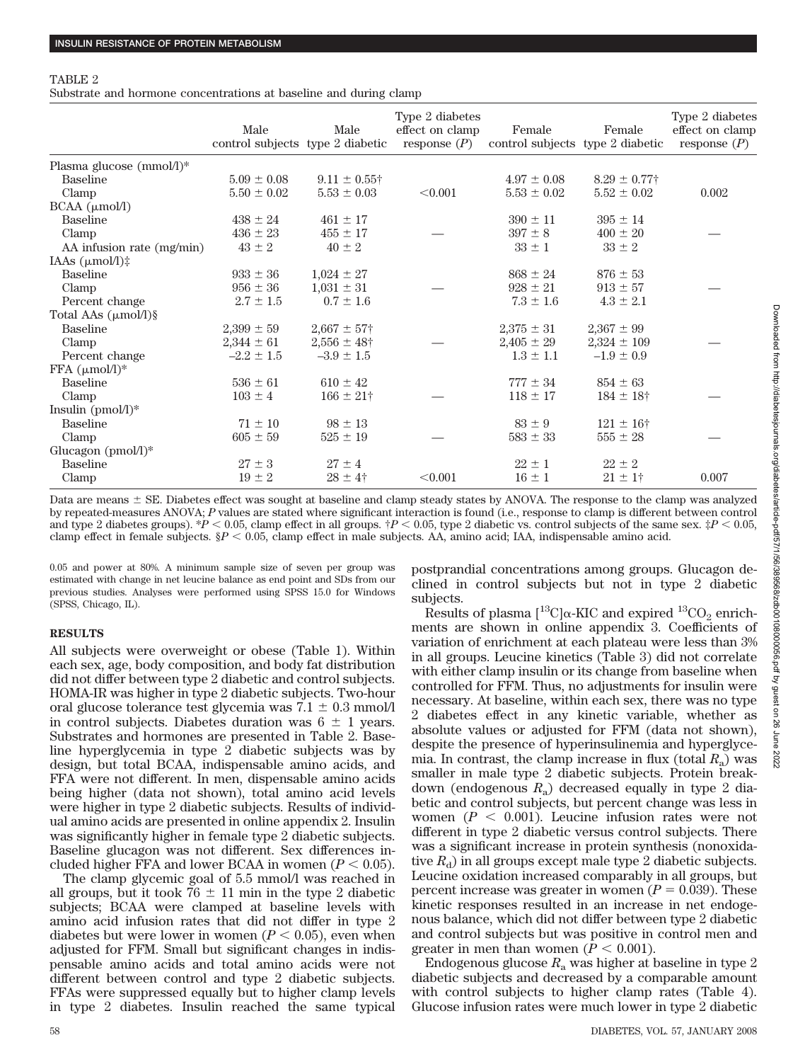#### TABLE 2

Substrate and hormone concentrations at baseline and during clamp

|                                 | Male<br>control subjects type 2 diabetic | Male                        | Type 2 diabetes<br>effect on clamp<br>response $(P)$ | Female<br>control subjects type 2 diabetic | Female               | Type 2 diabetes<br>effect on clamp<br>response $(P)$ |
|---------------------------------|------------------------------------------|-----------------------------|------------------------------------------------------|--------------------------------------------|----------------------|------------------------------------------------------|
| Plasma glucose (mmol/l)*        |                                          |                             |                                                      |                                            |                      |                                                      |
| <b>Baseline</b>                 | $5.09 \pm 0.08$                          | $9.11 \pm 0.55$ †           |                                                      | $4.97 \pm 0.08$                            | $8.29 \pm 0.77$ †    |                                                      |
| Clamp                           | $5.50 \pm 0.02$                          | $5.53 \pm 0.03$             | < 0.001                                              | $5.53 \pm 0.02$                            | $5.52 \pm 0.02$      | 0.002                                                |
| $BCAA$ ( $\mu$ mol/l)           |                                          |                             |                                                      |                                            |                      |                                                      |
| <b>Baseline</b>                 | $438 \pm 24$                             | $461 \pm 17$                |                                                      | $390 \pm 11$                               | $395 \pm 14$         |                                                      |
| Clamp                           | $436 \pm 23$                             | $455 \pm 17$                |                                                      | $397 \pm 8$                                | $400 \pm 20$         |                                                      |
| AA infusion rate (mg/min)       | $43 \pm 2$                               | $40 \pm 2$                  |                                                      | $33 \pm 1$                                 | $33 \pm 2$           |                                                      |
| IAAs $(\mu \text{mol/l})$ :     |                                          |                             |                                                      |                                            |                      |                                                      |
| <b>Baseline</b>                 | $933 \pm 36$                             | $1,024 \pm 27$              |                                                      | $868 \pm 24$                               | $876 \pm 53$         |                                                      |
| Clamp                           | $956 \pm 36$                             | $1,031 \pm 31$              |                                                      | $928 \pm 21$                               | $913 \pm 57$         |                                                      |
| Percent change                  | $2.7 \pm 1.5$                            | $0.7 \pm 1.6$               |                                                      | $7.3 \pm 1.6$                              | $4.3 \pm 2.1$        |                                                      |
| Total AAs $(\mu \text{mol/l})\$ |                                          |                             |                                                      |                                            |                      |                                                      |
| <b>Baseline</b>                 | $2,399 \pm 59$                           | $2,667 \pm 57$ <sup>+</sup> |                                                      | $2,375 \pm 31$                             | $2,367 \pm 99$       |                                                      |
| Clamp                           | $2,344 \pm 61$                           | $2,556 \pm 48$ †            |                                                      | $2,405 \pm 29$                             | $2,324 \pm 109$      |                                                      |
| Percent change                  | $-2.2 \pm 1.5$                           | $-3.9 \pm 1.5$              |                                                      | $1.3 \pm 1.1$                              | $-1.9 \pm 0.9$       |                                                      |
| $FFA$ ( $\mu$ mol/l)*           |                                          |                             |                                                      |                                            |                      |                                                      |
| <b>Baseline</b>                 | $536 \pm 61$                             | $610 \pm 42$                |                                                      | $777 \pm 34$                               | $854 \pm 63$         |                                                      |
| Clamp                           | $103 \pm 4$                              | $166 \pm 21$ †              |                                                      | $118 \pm 17$                               | $184 \pm 18$ †       |                                                      |
| Insulin $(pmol/l)^*$            |                                          |                             |                                                      |                                            |                      |                                                      |
| <b>Baseline</b>                 | $71 \pm 10$                              | $98 \pm 13$                 |                                                      | $83 \pm 9$                                 | $121 \pm 16^{\circ}$ |                                                      |
| Clamp                           | $605 \pm 59$                             | $525 \pm 19$                |                                                      | $583 \pm 33$                               | $555\pm28$           |                                                      |
| Glucagon (pmol/l)*              |                                          |                             |                                                      |                                            |                      |                                                      |
| <b>Baseline</b>                 | $27 \pm 3$                               | $27 \pm 4$                  |                                                      | $22 \pm 1$                                 | $22 \pm 2$           |                                                      |
| Clamp                           | $19 \pm 2$                               | $28 \pm 4^{\circ}$          | < 0.001                                              | $16 \pm 1$                                 | $21 \pm 1$ †         | 0.007                                                |

Data are means  $\pm$  SE. Diabetes effect was sought at baseline and clamp steady states by ANOVA. The response to the clamp was analyzed by repeated-measures ANOVA; *P* values are stated where significant interaction is found (i.e., response to clamp is different between control and type 2 diabetes groups).  $P < 0.05$ , clamp effect in all groups.  $P < 0.05$ , type 2 diabetic vs. control subjects of the same sex.  $\ddagger P < 0.05$ , clamp effect in female subjects. §*P* - 0.05, clamp effect in male subjects. AA, amino acid; IAA, indispensable amino acid.

0.05 and power at 80%. A minimum sample size of seven per group was estimated with change in net leucine balance as end point and SDs from our previous studies. Analyses were performed using SPSS 15.0 for Windows (SPSS, Chicago, IL).

## **RESULTS**

All subjects were overweight or obese (Table 1). Within each sex, age, body composition, and body fat distribution did not differ between type 2 diabetic and control subjects. HOMA-IR was higher in type 2 diabetic subjects. Two-hour oral glucose tolerance test glycemia was  $7.1 \pm 0.3$  mmol/l in control subjects. Diabetes duration was  $6 \pm 1$  years. Substrates and hormones are presented in Table 2. Baseline hyperglycemia in type 2 diabetic subjects was by design, but total BCAA, indispensable amino acids, and FFA were not different. In men, dispensable amino acids being higher (data not shown), total amino acid levels were higher in type 2 diabetic subjects. Results of individual amino acids are presented in online appendix 2. Insulin was significantly higher in female type 2 diabetic subjects. Baseline glucagon was not different. Sex differences included higher FFA and lower BCAA in women  $(P < 0.05)$ .

The clamp glycemic goal of 5.5 mmol/l was reached in all groups, but it took  $76 \pm 11$  min in the type 2 diabetic subjects; BCAA were clamped at baseline levels with amino acid infusion rates that did not differ in type 2 diabetes but were lower in women  $(P < 0.05)$ , even when adjusted for FFM. Small but significant changes in indispensable amino acids and total amino acids were not different between control and type 2 diabetic subjects. FFAs were suppressed equally but to higher clamp levels in type 2 diabetes. Insulin reached the same typical postprandial concentrations among groups. Glucagon declined in control subjects but not in type 2 diabetic subjects.

Results of plasma  $[^{13}C]\alpha$ -KIC and expired  $^{13}CO_{2}$  enrichments are shown in online appendix 3. Coefficients of variation of enrichment at each plateau were less than 3% in all groups. Leucine kinetics (Table 3) did not correlate with either clamp insulin or its change from baseline when controlled for FFM. Thus, no adjustments for insulin were necessary. At baseline, within each sex, there was no type 2 diabetes effect in any kinetic variable, whether as absolute values or adjusted for FFM (data not shown), despite the presence of hyperinsulinemia and hyperglycemia. In contrast, the clamp increase in flux (total  $R_a$ ) was smaller in male type 2 diabetic subjects. Protein breakdown (endogenous  $R_a$ ) decreased equally in type 2 diabetic and control subjects, but percent change was less in women  $(P < 0.001)$ . Leucine infusion rates were not different in type 2 diabetic versus control subjects. There was a significant increase in protein synthesis (nonoxidative  $R_d$ ) in all groups except male type 2 diabetic subjects. Leucine oxidation increased comparably in all groups, but percent increase was greater in women ( $P = 0.039$ ). These kinetic responses resulted in an increase in net endogenous balance, which did not differ between type 2 diabetic and control subjects but was positive in control men and greater in men than women  $(P < 0.001)$ .

Endogenous glucose  $R_a$  was higher at baseline in type 2 diabetic subjects and decreased by a comparable amount with control subjects to higher clamp rates (Table 4). Glucose infusion rates were much lower in type 2 diabetic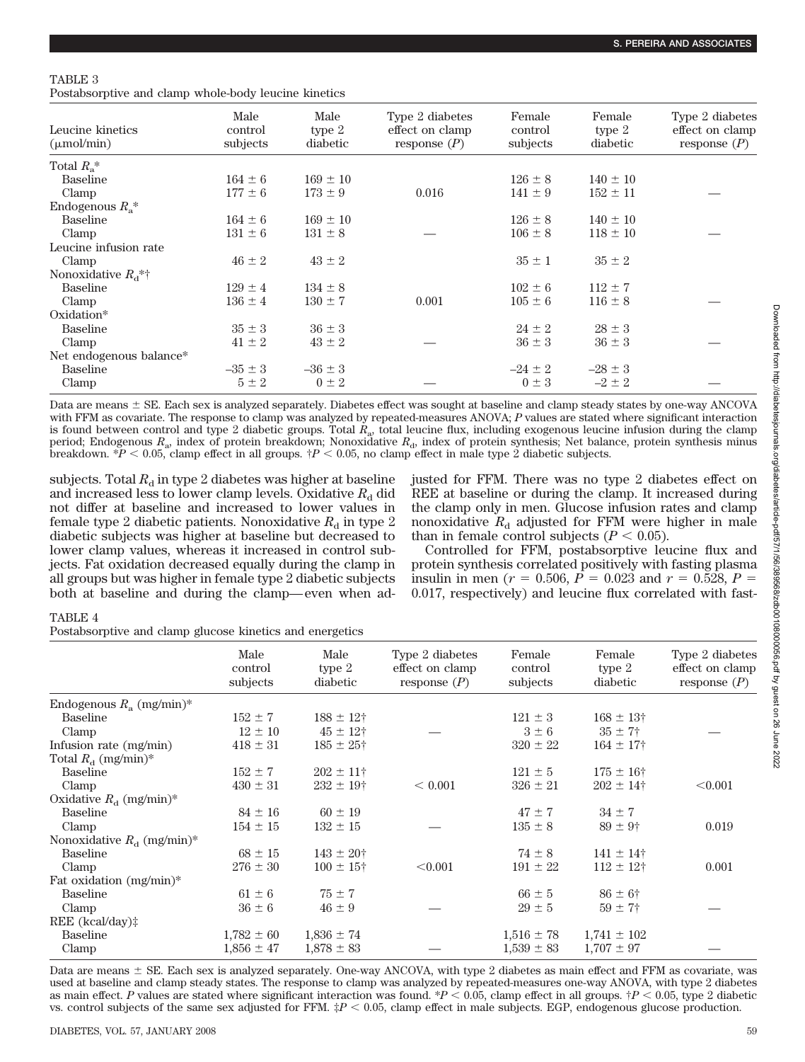# TABLE 3

Postabsorptive and clamp whole-body leucine kinetics

| Leucine kinetics<br>$(\mu \text{mol/min})$ | Male<br>control<br>subjects | Male<br>type $2$<br>diabetic | Type 2 diabetes<br>effect on clamp<br>response $(P)$ | Female<br>control<br>subjects | Female<br>type $2$<br>diabetic | Type 2 diabetes<br>effect on clamp<br>response $(P)$ |
|--------------------------------------------|-----------------------------|------------------------------|------------------------------------------------------|-------------------------------|--------------------------------|------------------------------------------------------|
| Total $R_{\circ}$ <sup>*</sup>             |                             |                              |                                                      |                               |                                |                                                      |
| Baseline                                   | $164 \pm 6$                 | $169 \pm 10$                 |                                                      | $126 \pm 8$                   | $140 \pm 10$                   |                                                      |
| Clamp                                      | $177 \pm 6$                 | $173 \pm 9$                  | 0.016                                                | $141 \pm 9$                   | $152 \pm 11$                   |                                                      |
| Endogenous $R_{\rm a}^*$                   |                             |                              |                                                      |                               |                                |                                                      |
| <b>Baseline</b>                            | $164 \pm 6$                 | $169 \pm 10$                 |                                                      | $126 \pm 8$                   | $140 \pm 10$                   |                                                      |
| Clamp                                      | $131 \pm 6$                 | $131 \pm 8$                  |                                                      | $106 \pm 8$                   | $118 \pm 10$                   |                                                      |
| Leucine infusion rate                      |                             |                              |                                                      |                               |                                |                                                      |
| Clamp                                      | $46 \pm 2$                  | $43 \pm 2$                   |                                                      | $35 \pm 1$                    | $35 \pm 2$                     |                                                      |
| Nonoxidative $R_d^*$ <sup>*</sup>          |                             |                              |                                                      |                               |                                |                                                      |
| <b>Baseline</b>                            | $129 \pm 4$                 | $134 \pm 8$                  |                                                      | $102 \pm 6$                   | $112 \pm 7$                    |                                                      |
| Clamp                                      | $136 \pm 4$                 | $130 \pm 7$                  | 0.001                                                | $105 \pm 6$                   | $116 \pm 8$                    |                                                      |
| Oxidation*                                 |                             |                              |                                                      |                               |                                |                                                      |
| <b>Baseline</b>                            | $35 \pm 3$                  | $36 \pm 3$                   |                                                      | $24 \pm 2$                    | $28 \pm 3$                     |                                                      |
| Clamp                                      | $41 \pm 2$                  | $43 \pm 2$                   |                                                      | $36 \pm 3$                    | $36 \pm 3$                     |                                                      |
| Net endogenous balance*                    |                             |                              |                                                      |                               |                                |                                                      |
| <b>Baseline</b>                            | $-35 \pm 3$                 | $-36 \pm 3$                  |                                                      | $-24 \pm 2$                   | $-28 \pm 3$                    |                                                      |
| Clamp                                      | $5 \pm 2$                   | $0 \pm 2$                    |                                                      | $0 \pm 3$                     | $-2 \pm 2$                     |                                                      |

Data are means  $\pm$  SE. Each sex is analyzed separately. Diabetes effect was sought at baseline and clamp steady states by one-way ANCOVA with FFM as covariate. The response to clamp was analyzed by repeated-measures ANOVA; *P* values are stated where significant interaction is found between control and type 2 diabetic groups. Total *R*a, total leucine flux, including exogenous leucine infusion during the clamp period; Endogenous  $R_a$ , index of protein breakdown; Nonoxidative  $R_d$ , index of protein synthesis; Net balance, protein synthesis minus breakdown.  $*P < 0.05$ , clamp effect in all groups.  $\dagger P < 0.05$ , no clamp effect in male type 2 diabetic subjects.

subjects. Total  $R_d$  in type 2 diabetes was higher at baseline and increased less to lower clamp levels. Oxidative  $R<sub>d</sub>$  did not differ at baseline and increased to lower values in female type 2 diabetic patients. Nonoxidative  $R_d$  in type 2 diabetic subjects was higher at baseline but decreased to lower clamp values, whereas it increased in control subjects. Fat oxidation decreased equally during the clamp in all groups but was higher in female type 2 diabetic subjects both at baseline and during the clamp— even when ad-

justed for FFM. There was no type 2 diabetes effect on REE at baseline or during the clamp. It increased during the clamp only in men. Glucose infusion rates and clamp nonoxidative  $R_d$  adjusted for FFM were higher in male than in female control subjects  $(P < 0.05)$ .

Controlled for FFM, postabsorptive leucine flux and protein synthesis correlated positively with fasting plasma insulin in men ( $r = 0.506$ ,  $\overline{P} = 0.023$  and  $r = 0.528$ ,  $P =$ 0.017, respectively) and leucine flux correlated with fast-

# TABLE 4

Postabsorptive and clamp glucose kinetics and energetics

|                                 | Male<br>control<br>subjects | Male<br>type 2<br>diabetic | Type 2 diabetes<br>effect on clamp<br>response $(P)$ | Female<br>control<br>subjects | Female<br>type 2<br>diabetic | Type 2 diabetes<br>effect on clamp<br>response $(P)$ |
|---------------------------------|-----------------------------|----------------------------|------------------------------------------------------|-------------------------------|------------------------------|------------------------------------------------------|
| Endogenous $R_a$ (mg/min)*      |                             |                            |                                                      |                               |                              |                                                      |
| Baseline                        | $152 \pm 7$                 | $188 \pm 12$ †             |                                                      | $121 \pm 3$                   | $168 \pm 13$ †               |                                                      |
| Clamp                           | $12 \pm 10$                 | $45 \pm 12$ †              |                                                      | $3 \pm 6$                     | $35 \pm 7$ †                 |                                                      |
| Infusion rate (mg/min)          | $418 \pm 31$                | $185 \pm 25^{\circ}$       |                                                      | $320 \pm 22$                  | $164 \pm 17$ †               |                                                      |
| Total $R_{\rm d}$ (mg/min)*     |                             |                            |                                                      |                               |                              |                                                      |
| <b>Baseline</b>                 | $152 \pm 7$                 | $202 \pm 11^+$             |                                                      | $121 \pm 5$                   | $175 \pm 16^+$               |                                                      |
| Clamp                           | $430 \pm 31$                | $232 \pm 19$ †             | ${}< 0.001$                                          | $326 \pm 21$                  | $202 \pm 14$ †               | < 0.001                                              |
| Oxidative $R_{\rm d}$ (mg/min)* |                             |                            |                                                      |                               |                              |                                                      |
| <b>Baseline</b>                 | $84 \pm 16$                 | $60 \pm 19$                |                                                      | $47 \pm 7$                    | $34 \pm 7$                   |                                                      |
| Clamp                           | $154 \pm 15$                | $132 \pm 15$               |                                                      | $135 \pm 8$                   | $89 \pm 9^{\circ}$           | 0.019                                                |
| Nonoxidative $R_{d}$ (mg/min)*  |                             |                            |                                                      |                               |                              |                                                      |
| <b>Baseline</b>                 | $68 \pm 15$                 | $143 \pm 20^+$             |                                                      | $74 \pm 8$                    | $141 \pm 14^{\dagger}$       |                                                      |
| Clamp                           | $276 \pm 30$                | $100 \pm 15^{\circ}$       | < 0.001                                              | $191 \pm 22$                  | $112 \pm 12$ †               | 0.001                                                |
| Fat oxidation $(mg/min)^*$      |                             |                            |                                                      |                               |                              |                                                      |
| <b>Baseline</b>                 | $61 \pm 6$                  | $75 \pm 7$                 |                                                      | $66 \pm 5$                    | $86 \pm 6^{\circ}$           |                                                      |
| Clamp                           | $36 \pm 6$                  | $46 \pm 9$                 |                                                      | $29 \pm 5$                    | $59 \pm 7$ †                 |                                                      |
| REE (kcal/day)‡                 |                             |                            |                                                      |                               |                              |                                                      |
| <b>Baseline</b>                 | $1,782 \pm 60$              | $1,836 \pm 74$             |                                                      | $1,516 \pm 78$                | $1,741 \pm 102$              |                                                      |
| Clamp                           | $1,856 \pm 47$              | $1,878 \pm 83$             |                                                      | $1,539 \pm 83$                | $1,707 \pm 97$               |                                                      |

Data are means  $\pm$  SE. Each sex is analyzed separately. One-way ANCOVA, with type 2 diabetes as main effect and FFM as covariate, was used at baseline and clamp steady states. The response to clamp was analyzed by repeated-measures one-way ANOVA, with type 2 diabetes as main effect. P values are stated where significant interaction was found.  $*P < 0.05$ , clamp effect in all groups.  $\dot{\tau}P < 0.05$ , type 2 diabetic vs. control subjects of the same sex adjusted for FFM.  $\sharp P < 0.05$ , clamp effect in male subjects. EGP, endogenous glucose production.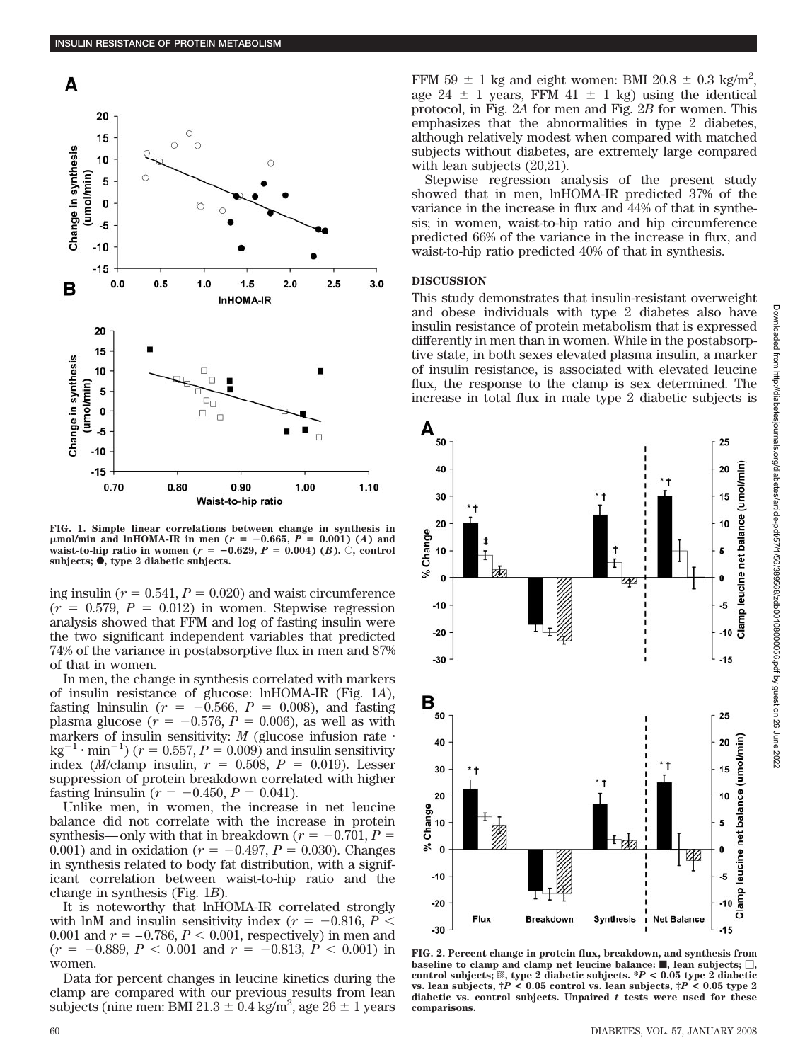

**FIG. 1. Simple linear correlations between change in synthesis in**  $\mu$ mol/min and lnHOMA-IR in men ( $r = -0.665$ ,  $P = 0.001$ ) (*A*) and **waist-to-hip ratio in women (** $r = -0.629, P = 0.004$ **) (***B***).**  $\circ$ **, control** subjects;  $\bullet$ , type 2 diabetic subjects.

ing insulin ( $r = 0.541$ ,  $P = 0.020$ ) and waist circumference  $(r = 0.579, P = 0.012)$  in women. Stepwise regression analysis showed that FFM and log of fasting insulin were the two significant independent variables that predicted 74% of the variance in postabsorptive flux in men and 87% of that in women.

In men, the change in synthesis correlated with markers of insulin resistance of glucose: lnHOMA-IR (Fig. 1*A*), fasting lninsulin ( $r = -0.566$ ,  $P = 0.008$ ), and fasting plasma glucose  $(r = -0.576, P = 0.006)$ , as well as with markers of insulin sensitivity: *M* (glucose infusion rate  $\cdot$  $\text{kg}^{-1} \cdot \text{min}^{-1}$ ) (*r* = 0.557, *P* = 0.009) and insulin sensitivity index (*M*/clamp insulin,  $r = 0.508$ ,  $P = 0.019$ ). Lesser suppression of protein breakdown correlated with higher fasting lninsulin ( $r = -0.450$ ,  $P = 0.041$ ).

Unlike men, in women, the increase in net leucine balance did not correlate with the increase in protein synthesis—only with that in breakdown ( $r = -0.701$ ,  $P =$ 0.001) and in oxidation ( $r = -0.497$ ,  $P = 0.030$ ). Changes in synthesis related to body fat distribution, with a significant correlation between waist-to-hip ratio and the change in synthesis (Fig. 1*B*).

It is noteworthy that lnHOMA-IR correlated strongly with lnM and insulin sensitivity index ( $r = -0.816, P <$  $0.001$  and  $r = -0.786, P < 0.001$ , respectively) in men and  $(r = -0.889, P < 0.001 \text{ and } r = -0.813, P < 0.001 \text{ in}$ women.

Data for percent changes in leucine kinetics during the clamp are compared with our previous results from lean subjects (nine men: BMI 21.3  $\pm$  0.4 kg/m<sup>2</sup>, age 26  $\pm$  1 years

FFM 59  $\pm$  1 kg and eight women: BMI 20.8  $\pm$  0.3 kg/m<sup>2</sup>, age 24  $\pm$  1 years, FFM 41  $\pm$  1 kg) using the identical protocol, in Fig. 2*A* for men and Fig. 2*B* for women. This emphasizes that the abnormalities in type 2 diabetes, although relatively modest when compared with matched subjects without diabetes, are extremely large compared with lean subjects (20,21).

Stepwise regression analysis of the present study showed that in men, lnHOMA-IR predicted 37% of the variance in the increase in flux and 44% of that in synthesis; in women, waist-to-hip ratio and hip circumference predicted 66% of the variance in the increase in flux, and waist-to-hip ratio predicted 40% of that in synthesis.

#### **DISCUSSION**

This study demonstrates that insulin-resistant overweight and obese individuals with type 2 diabetes also have insulin resistance of protein metabolism that is expressed differently in men than in women. While in the postabsorptive state, in both sexes elevated plasma insulin, a marker of insulin resistance, is associated with elevated leucine flux, the response to the clamp is sex determined. The increase in total flux in male type 2 diabetic subjects is



**FIG. 2. Percent change in protein flux, breakdown, and synthesis from** baseline to clamp and clamp net leucine balance:  $\blacksquare$ , lean subjects;  $\Box$ , control subjects;  $\mathbb{Z}$ , type 2 diabetic subjects.  $^*P < 0.05$  type 2 diabetic **vs. lean subjects, †***P* **< 0.05 control vs. lean subjects, ‡***P* **< 0.05 type 2 diabetic vs. control subjects. Unpaired** *t* **tests were used for these comparisons.**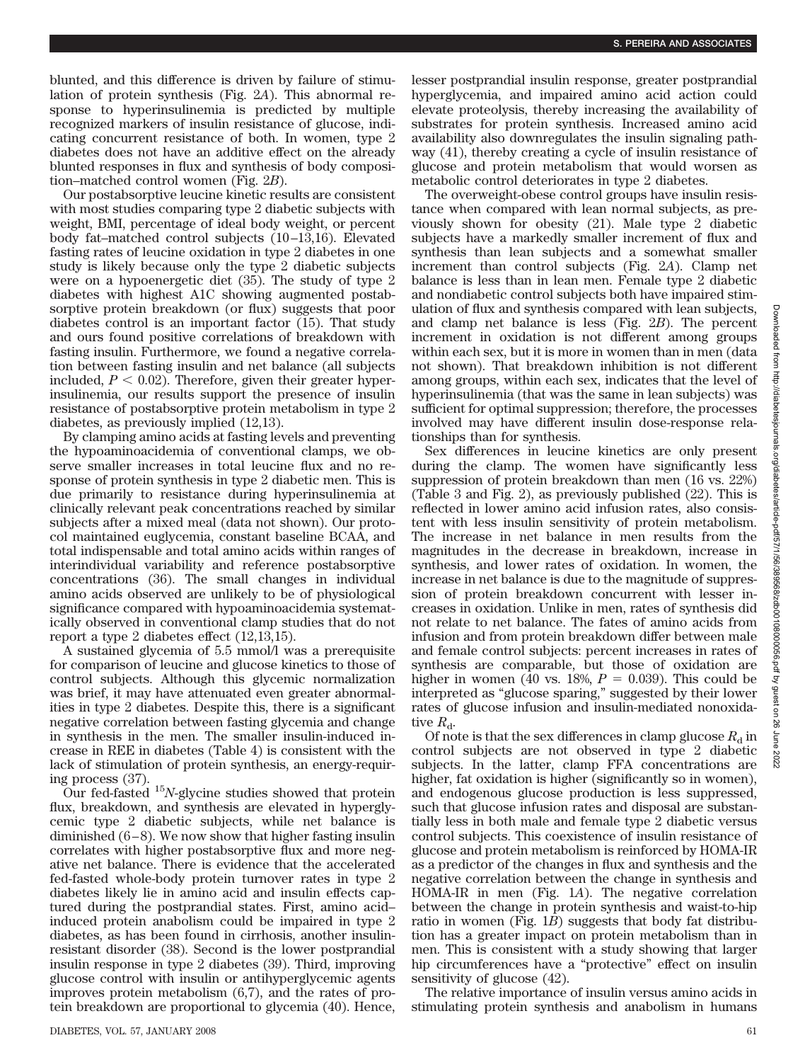blunted, and this difference is driven by failure of stimulation of protein synthesis (Fig. 2*A*). This abnormal response to hyperinsulinemia is predicted by multiple recognized markers of insulin resistance of glucose, indicating concurrent resistance of both. In women, type 2 diabetes does not have an additive effect on the already blunted responses in flux and synthesis of body composition–matched control women (Fig. 2*B*).

Our postabsorptive leucine kinetic results are consistent with most studies comparing type 2 diabetic subjects with weight, BMI, percentage of ideal body weight, or percent body fat–matched control subjects (10 –13,16). Elevated fasting rates of leucine oxidation in type 2 diabetes in one study is likely because only the type 2 diabetic subjects were on a hypoenergetic diet (35). The study of type 2 diabetes with highest A1C showing augmented postabsorptive protein breakdown (or flux) suggests that poor diabetes control is an important factor (15). That study and ours found positive correlations of breakdown with fasting insulin. Furthermore, we found a negative correlation between fasting insulin and net balance (all subjects included,  $P < 0.02$ ). Therefore, given their greater hyperinsulinemia, our results support the presence of insulin resistance of postabsorptive protein metabolism in type 2 diabetes, as previously implied (12,13).

By clamping amino acids at fasting levels and preventing the hypoaminoacidemia of conventional clamps, we observe smaller increases in total leucine flux and no response of protein synthesis in type 2 diabetic men. This is due primarily to resistance during hyperinsulinemia at clinically relevant peak concentrations reached by similar subjects after a mixed meal (data not shown). Our protocol maintained euglycemia, constant baseline BCAA, and total indispensable and total amino acids within ranges of interindividual variability and reference postabsorptive concentrations (36). The small changes in individual amino acids observed are unlikely to be of physiological significance compared with hypoaminoacidemia systematically observed in conventional clamp studies that do not report a type 2 diabetes effect (12,13,15).

A sustained glycemia of 5.5 mmol/l was a prerequisite for comparison of leucine and glucose kinetics to those of control subjects. Although this glycemic normalization was brief, it may have attenuated even greater abnormalities in type 2 diabetes. Despite this, there is a significant negative correlation between fasting glycemia and change in synthesis in the men. The smaller insulin-induced increase in REE in diabetes (Table 4) is consistent with the lack of stimulation of protein synthesis, an energy-requiring process (37).

Our fed-fasted  $15N$ -glycine studies showed that protein flux, breakdown, and synthesis are elevated in hyperglycemic type 2 diabetic subjects, while net balance is diminished  $(6-8)$ . We now show that higher fasting insulin correlates with higher postabsorptive flux and more negative net balance. There is evidence that the accelerated fed-fasted whole-body protein turnover rates in type 2 diabetes likely lie in amino acid and insulin effects captured during the postprandial states. First, amino acid– induced protein anabolism could be impaired in type 2 diabetes, as has been found in cirrhosis, another insulinresistant disorder (38). Second is the lower postprandial insulin response in type 2 diabetes (39). Third, improving glucose control with insulin or antihyperglycemic agents improves protein metabolism (6,7), and the rates of protein breakdown are proportional to glycemia (40). Hence,

lesser postprandial insulin response, greater postprandial hyperglycemia, and impaired amino acid action could elevate proteolysis, thereby increasing the availability of substrates for protein synthesis. Increased amino acid availability also downregulates the insulin signaling pathway (41), thereby creating a cycle of insulin resistance of glucose and protein metabolism that would worsen as metabolic control deteriorates in type 2 diabetes.

The overweight-obese control groups have insulin resistance when compared with lean normal subjects, as previously shown for obesity (21). Male type 2 diabetic subjects have a markedly smaller increment of flux and synthesis than lean subjects and a somewhat smaller increment than control subjects (Fig. 2*A*). Clamp net balance is less than in lean men. Female type 2 diabetic and nondiabetic control subjects both have impaired stimulation of flux and synthesis compared with lean subjects, and clamp net balance is less (Fig. 2*B*). The percent increment in oxidation is not different among groups within each sex, but it is more in women than in men (data not shown). That breakdown inhibition is not different among groups, within each sex, indicates that the level of hyperinsulinemia (that was the same in lean subjects) was sufficient for optimal suppression; therefore, the processes involved may have different insulin dose-response relationships than for synthesis.

Sex differences in leucine kinetics are only present during the clamp. The women have significantly less suppression of protein breakdown than men (16 vs. 22%) (Table 3 and Fig. 2), as previously published (22). This is reflected in lower amino acid infusion rates, also consistent with less insulin sensitivity of protein metabolism. The increase in net balance in men results from the magnitudes in the decrease in breakdown, increase in synthesis, and lower rates of oxidation. In women, the increase in net balance is due to the magnitude of suppression of protein breakdown concurrent with lesser increases in oxidation. Unlike in men, rates of synthesis did not relate to net balance. The fates of amino acids from infusion and from protein breakdown differ between male and female control subjects: percent increases in rates of synthesis are comparable, but those of oxidation are higher in women (40 vs. 18%,  $P = 0.039$ ). This could be interpreted as "glucose sparing," suggested by their lower rates of glucose infusion and insulin-mediated nonoxidative  $R_{\rm d}$ .

Of note is that the sex differences in clamp glucose  $R_d$  in control subjects are not observed in type 2 diabetic subjects. In the latter, clamp FFA concentrations are higher, fat oxidation is higher (significantly so in women), and endogenous glucose production is less suppressed, such that glucose infusion rates and disposal are substantially less in both male and female type 2 diabetic versus control subjects. This coexistence of insulin resistance of glucose and protein metabolism is reinforced by HOMA-IR as a predictor of the changes in flux and synthesis and the negative correlation between the change in synthesis and HOMA-IR in men (Fig. 1*A*). The negative correlation between the change in protein synthesis and waist-to-hip ratio in women (Fig. 1*B*) suggests that body fat distribution has a greater impact on protein metabolism than in men. This is consistent with a study showing that larger hip circumferences have a "protective" effect on insulin sensitivity of glucose (42).

The relative importance of insulin versus amino acids in stimulating protein synthesis and anabolism in humans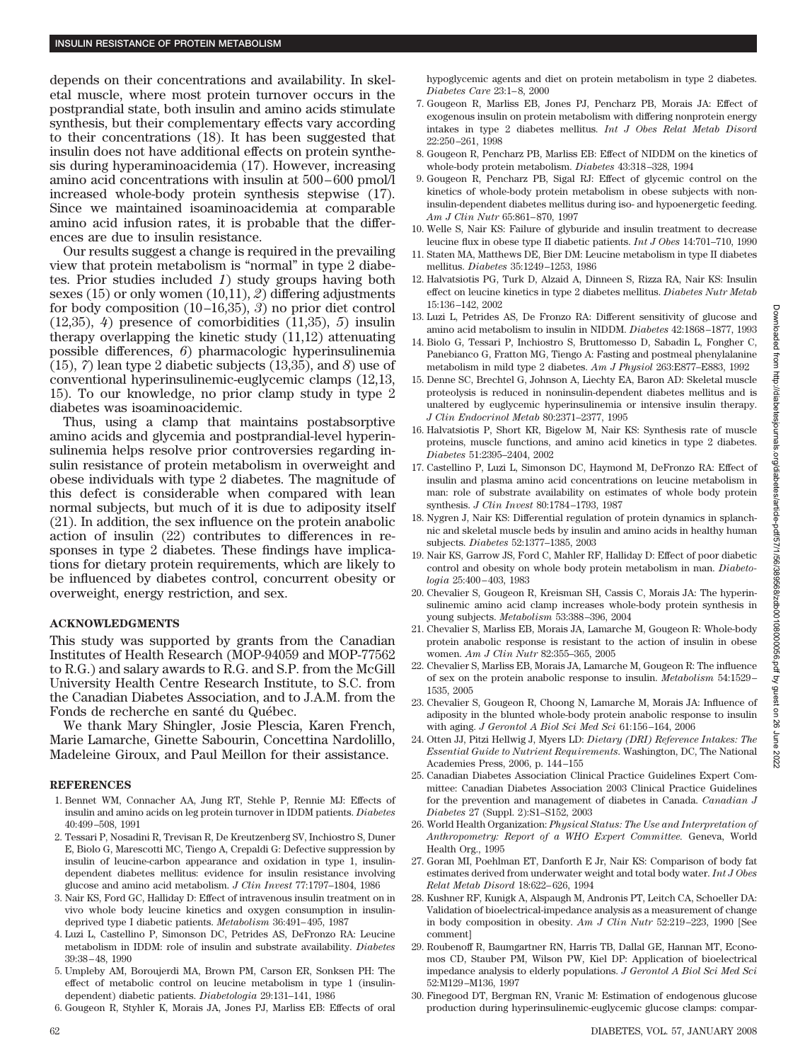depends on their concentrations and availability. In skeletal muscle, where most protein turnover occurs in the postprandial state, both insulin and amino acids stimulate synthesis, but their complementary effects vary according to their concentrations (18). It has been suggested that insulin does not have additional effects on protein synthesis during hyperaminoacidemia (17). However, increasing amino acid concentrations with insulin at 500 – 600 pmol/l increased whole-body protein synthesis stepwise (17). Since we maintained isoaminoacidemia at comparable amino acid infusion rates, it is probable that the differences are due to insulin resistance.

Our results suggest a change is required in the prevailing view that protein metabolism is "normal" in type 2 diabetes. Prior studies included *1*) study groups having both sexes (15) or only women (10,11), *2*) differing adjustments for body composition (10 –16,35), *3*) no prior diet control (12,35), *4*) presence of comorbidities (11,35), *5*) insulin therapy overlapping the kinetic study (11,12) attenuating possible differences, *6*) pharmacologic hyperinsulinemia (15), *7*) lean type 2 diabetic subjects (13,35), and *8*) use of conventional hyperinsulinemic-euglycemic clamps (12,13, 15). To our knowledge, no prior clamp study in type 2 diabetes was isoaminoacidemic.

Thus, using a clamp that maintains postabsorptive amino acids and glycemia and postprandial-level hyperinsulinemia helps resolve prior controversies regarding insulin resistance of protein metabolism in overweight and obese individuals with type 2 diabetes. The magnitude of this defect is considerable when compared with lean normal subjects, but much of it is due to adiposity itself (21). In addition, the sex influence on the protein anabolic action of insulin (22) contributes to differences in responses in type 2 diabetes. These findings have implications for dietary protein requirements, which are likely to be influenced by diabetes control, concurrent obesity or overweight, energy restriction, and sex.

## **ACKNOWLEDGMENTS**

This study was supported by grants from the Canadian Institutes of Health Research (MOP-94059 and MOP-77562 to R.G.) and salary awards to R.G. and S.P. from the McGill University Health Centre Research Institute, to S.C. from the Canadian Diabetes Association, and to J.A.M. from the Fonds de recherche en santé du Québec.

We thank Mary Shingler, Josie Plescia, Karen French, Marie Lamarche, Ginette Sabourin, Concettina Nardolillo, Madeleine Giroux, and Paul Meillon for their assistance.

#### **REFERENCES**

- 1. Bennet WM, Connacher AA, Jung RT, Stehle P, Rennie MJ: Effects of insulin and amino acids on leg protein turnover in IDDM patients. *Diabetes* 40:499 –508, 1991
- 2. Tessari P, Nosadini R, Trevisan R, De Kreutzenberg SV, Inchiostro S, Duner E, Biolo G, Marescotti MC, Tiengo A, Crepaldi G: Defective suppression by insulin of leucine-carbon appearance and oxidation in type 1, insulindependent diabetes mellitus: evidence for insulin resistance involving glucose and amino acid metabolism. *J Clin Invest* 77:1797–1804, 1986
- 3. Nair KS, Ford GC, Halliday D: Effect of intravenous insulin treatment on in vivo whole body leucine kinetics and oxygen consumption in insulindeprived type I diabetic patients. *Metabolism* 36:491-495, 1987
- 4. Luzi L, Castellino P, Simonson DC, Petrides AS, DeFronzo RA: Leucine metabolism in IDDM: role of insulin and substrate availability. *Diabetes* 39:38 – 48, 1990
- 5. Umpleby AM, Boroujerdi MA, Brown PM, Carson ER, Sonksen PH: The effect of metabolic control on leucine metabolism in type 1 (insulindependent) diabetic patients. *Diabetologia* 29:131–141, 1986
- 6. Gougeon R, Styhler K, Morais JA, Jones PJ, Marliss EB: Effects of oral

hypoglycemic agents and diet on protein metabolism in type 2 diabetes. *Diabetes Care* 23:1– 8, 2000

- 7. Gougeon R, Marliss EB, Jones PJ, Pencharz PB, Morais JA: Effect of exogenous insulin on protein metabolism with differing nonprotein energy intakes in type 2 diabetes mellitus. *Int J Obes Relat Metab Disord* 22:250 –261, 1998
- 8. Gougeon R, Pencharz PB, Marliss EB: Effect of NIDDM on the kinetics of whole-body protein metabolism. *Diabetes* 43:318 –328, 1994
- 9. Gougeon R, Pencharz PB, Sigal RJ: Effect of glycemic control on the kinetics of whole-body protein metabolism in obese subjects with noninsulin-dependent diabetes mellitus during iso- and hypoenergetic feeding. *Am J Clin Nutr* 65:861– 870, 1997
- 10. Welle S, Nair KS: Failure of glyburide and insulin treatment to decrease leucine flux in obese type II diabetic patients. *Int J Obes* 14:701–710, 1990
- 11. Staten MA, Matthews DE, Bier DM: Leucine metabolism in type II diabetes mellitus. *Diabetes* 35:1249 –1253, 1986
- 12. Halvatsiotis PG, Turk D, Alzaid A, Dinneen S, Rizza RA, Nair KS: Insulin effect on leucine kinetics in type 2 diabetes mellitus. *Diabetes Nutr Metab* 15:136 –142, 2002
- 13. Luzi L, Petrides AS, De Fronzo RA: Different sensitivity of glucose and amino acid metabolism to insulin in NIDDM. *Diabetes* 42:1868 –1877, 1993
- 14. Biolo G, Tessari P, Inchiostro S, Bruttomesso D, Sabadin L, Fongher C, Panebianco G, Fratton MG, Tiengo A: Fasting and postmeal phenylalanine metabolism in mild type 2 diabetes. *Am J Physiol* 263:E877–E883, 1992
- 15. Denne SC, Brechtel G, Johnson A, Liechty EA, Baron AD: Skeletal muscle proteolysis is reduced in noninsulin-dependent diabetes mellitus and is unaltered by euglycemic hyperinsulinemia or intensive insulin therapy. *J Clin Endocrinol Metab* 80:2371–2377, 1995
- 16. Halvatsiotis P, Short KR, Bigelow M, Nair KS: Synthesis rate of muscle proteins, muscle functions, and amino acid kinetics in type 2 diabetes. *Diabetes* 51:2395–2404, 2002
- 17. Castellino P, Luzi L, Simonson DC, Haymond M, DeFronzo RA: Effect of insulin and plasma amino acid concentrations on leucine metabolism in man: role of substrate availability on estimates of whole body protein synthesis. *J Clin Invest* 80:1784 –1793, 1987
- 18. Nygren J, Nair KS: Differential regulation of protein dynamics in splanchnic and skeletal muscle beds by insulin and amino acids in healthy human subjects. *Diabetes* 52:1377–1385, 2003
- 19. Nair KS, Garrow JS, Ford C, Mahler RF, Halliday D: Effect of poor diabetic control and obesity on whole body protein metabolism in man. *Diabetologia* 25:400 – 403, 1983
- 20. Chevalier S, Gougeon R, Kreisman SH, Cassis C, Morais JA: The hyperinsulinemic amino acid clamp increases whole-body protein synthesis in young subjects. *Metabolism* 53:388 –396, 2004
- 21. Chevalier S, Marliss EB, Morais JA, Lamarche M, Gougeon R: Whole-body protein anabolic response is resistant to the action of insulin in obese women. *Am J Clin Nutr* 82:355–365, 2005
- 22. Chevalier S, Marliss EB, Morais JA, Lamarche M, Gougeon R: The influence of sex on the protein anabolic response to insulin. *Metabolism* 54:1529 – 1535, 2005
- 23. Chevalier S, Gougeon R, Choong N, Lamarche M, Morais JA: Influence of adiposity in the blunted whole-body protein anabolic response to insulin with aging. *J Gerontol A Biol Sci Med Sci* 61:156 –164, 2006
- 24. Otten JJ, Pitzi Hellwig J, Myers LD: *Dietary (DRI) Reference Intakes: The Essential Guide to Nutrient Requirements*. Washington, DC, The National Academies Press, 2006, p. 144 –155
- 25. Canadian Diabetes Association Clinical Practice Guidelines Expert Committee: Canadian Diabetes Association 2003 Clinical Practice Guidelines for the prevention and management of diabetes in Canada. *Canadian J Diabetes* 27 (Suppl. 2):S1–S152, 2003
- 26. World Health Organization: *Physical Status: The Use and Interpretation of Anthropometry: Report of a WHO Expert Committee.* Geneva, World Health Org., 1995
- 27. Goran MI, Poehlman ET, Danforth E Jr, Nair KS: Comparison of body fat estimates derived from underwater weight and total body water. *Int J Obes Relat Metab Disord* 18:622– 626, 1994
- 28. Kushner RF, Kunigk A, Alspaugh M, Andronis PT, Leitch CA, Schoeller DA: Validation of bioelectrical-impedance analysis as a measurement of change in body composition in obesity. *Am J Clin Nutr* 52:219 –223, 1990 [See comment]
- 29. Roubenoff R, Baumgartner RN, Harris TB, Dallal GE, Hannan MT, Economos CD, Stauber PM, Wilson PW, Kiel DP: Application of bioelectrical impedance analysis to elderly populations. *J Gerontol A Biol Sci Med Sci* 52:M129 –M136, 1997
- 30. Finegood DT, Bergman RN, Vranic M: Estimation of endogenous glucose production during hyperinsulinemic-euglycemic glucose clamps: compar-